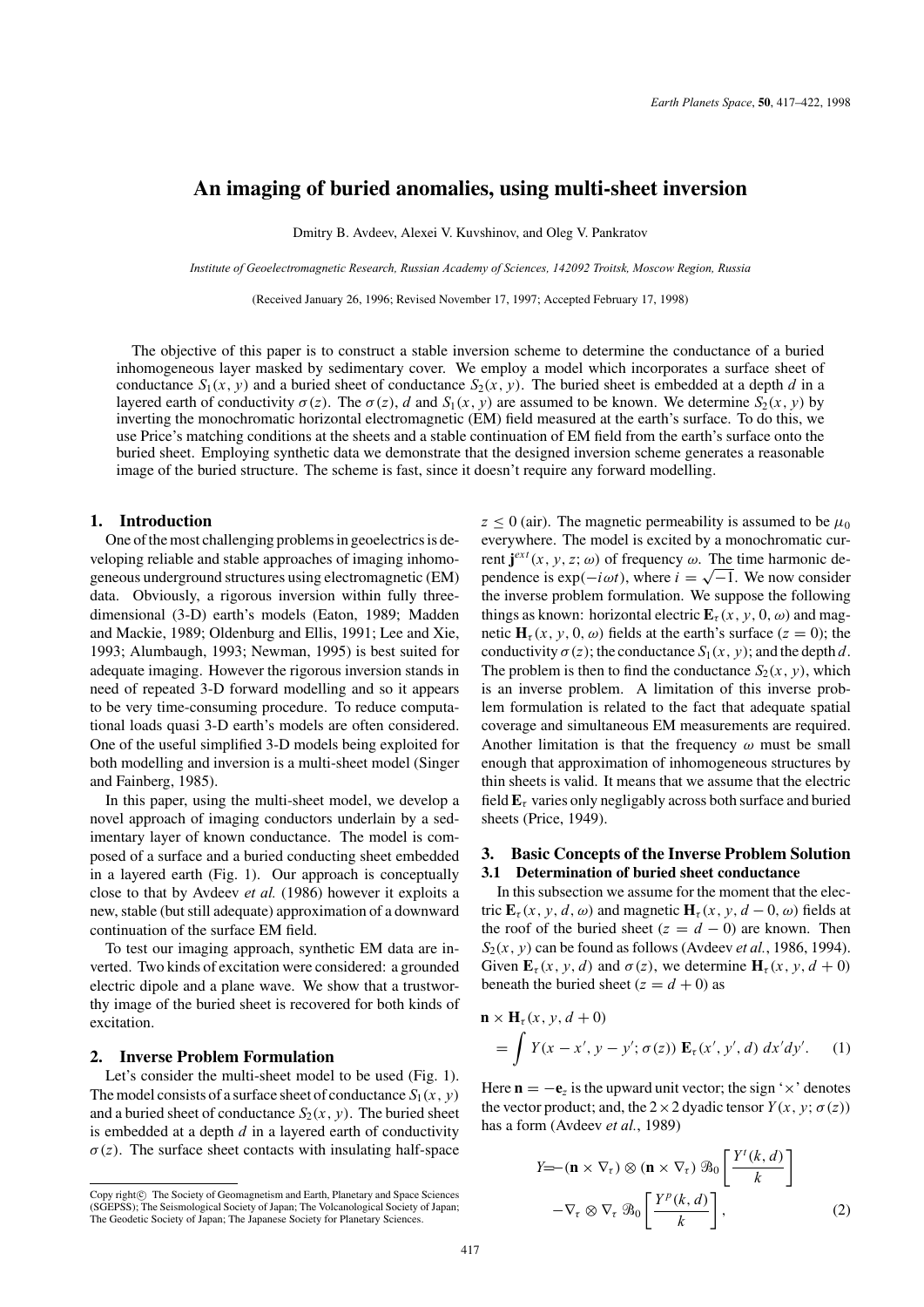# **An imaging of buried anomalies, using multi-sheet inversion**

Dmitry B. Avdeev, Alexei V. Kuvshinov, and Oleg V. Pankratov

*Institute of Geoelectromagnetic Research, Russian Academy of Sciences, 142092 Troitsk, Moscow Region, Russia*

(Received January 26, 1996; Revised November 17, 1997; Accepted February 17, 1998)

The objective of this paper is to construct a stable inversion scheme to determine the conductance of a buried inhomogeneous layer masked by sedimentary cover. We employ a model which incorporates a surface sheet of conductance  $S_1(x, y)$  and a buried sheet of conductance  $S_2(x, y)$ . The buried sheet is embedded at a depth *d* in a layered earth of conductivity  $\sigma(z)$ . The  $\sigma(z)$ , *d* and  $S_1(x, y)$  are assumed to be known. We determine  $S_2(x, y)$  by inverting the monochromatic horizontal electromagnetic (EM) field measured at the earth's surface. To do this, we use Price's matching conditions at the sheets and a stable continuation of EM field from the earth's surface onto the buried sheet. Employing synthetic data we demonstrate that the designed inversion scheme generates a reasonable image of the buried structure. The scheme is fast, since it doesn't require any forward modelling.

## **1. Introduction**

One of the most challenging problems in geoelectrics is developing reliable and stable approaches of imaging inhomogeneous underground structures using electromagnetic (EM) data. Obviously, a rigorous inversion within fully threedimensional (3-D) earth's models (Eaton, 1989; Madden and Mackie, 1989; Oldenburg and Ellis, 1991; Lee and Xie, 1993; Alumbaugh, 1993; Newman, 1995) is best suited for adequate imaging. However the rigorous inversion stands in need of repeated 3-D forward modelling and so it appears to be very time-consuming procedure. To reduce computational loads quasi 3-D earth's models are often considered. One of the useful simplified 3-D models being exploited for both modelling and inversion is a multi-sheet model (Singer and Fainberg, 1985).

In this paper, using the multi-sheet model, we develop a novel approach of imaging conductors underlain by a sedimentary layer of known conductance. The model is composed of a surface and a buried conducting sheet embedded in a layered earth (Fig. 1). Our approach is conceptually close to that by Avdeev *et al.* (1986) however it exploits a new, stable (but still adequate) approximation of a downward continuation of the surface EM field.

To test our imaging approach, synthetic EM data are inverted. Two kinds of excitation were considered: a grounded electric dipole and a plane wave. We show that a trustworthy image of the buried sheet is recovered for both kinds of excitation.

### **2. Inverse Problem Formulation**

Let's consider the multi-sheet model to be used (Fig. 1). The model consists of a surface sheet of conductance  $S_1(x, y)$ and a buried sheet of conductance  $S_2(x, y)$ . The buried sheet is embedded at a depth *d* in a layered earth of conductivity  $\sigma(z)$ . The surface sheet contacts with insulating half-space

 $z \le 0$  (air). The magnetic permeability is assumed to be  $\mu_0$ everywhere. The model is excited by a monochromatic cur**rent**  $**j**<sup>ext</sup>(x, y, z; ω)$  **of frequency ω. The time harmonic de**pendence is  $\exp(-i\omega t)$ , where  $i = \sqrt{-1}$ . We now consider the inverse problem formulation. We suppose the following things as known: horizontal electric  $\mathbf{E}_{\tau}(x, y, 0, \omega)$  and magnetic  $\mathbf{H}_{\tau}(x, y, 0, \omega)$  fields at the earth's surface ( $z = 0$ ); the conductivity  $\sigma(z)$ ; the conductance  $S_1(x, y)$ ; and the depth *d*. The problem is then to find the conductance  $S_2(x, y)$ , which is an inverse problem. A limitation of this inverse problem formulation is related to the fact that adequate spatial coverage and simultaneous EM measurements are required. Another limitation is that the frequency  $\omega$  must be small enough that approximation of inhomogeneous structures by thin sheets is valid. It means that we assume that the electric field  $\mathbf{E}_{\tau}$  varies only negligably across both surface and buried sheets (Price, 1949).

## **3. Basic Concepts of the Inverse Problem Solution 3.1 Determination of buried sheet conductance**

In this subsection we assume for the moment that the electric  $\mathbf{E}_{\tau}(x, y, d, \omega)$  and magnetic  $\mathbf{H}_{\tau}(x, y, d - 0, \omega)$  fields at the roof of the buried sheet  $(z = d - 0)$  are known. Then  $S_2(x, y)$  can be found as follows (Avdeev *et al.*, 1986, 1994). Given  $\mathbf{E}_{\tau}(x, y, d)$  and  $\sigma(z)$ , we determine  $\mathbf{H}_{\tau}(x, y, d+0)$ beneath the buried sheet  $(z = d + 0)$  as

$$
\mathbf{n} \times \mathbf{H}_{\tau}(x, y, d+0)
$$
  
= 
$$
\int Y(x - x', y - y'; \sigma(z)) \mathbf{E}_{\tau}(x', y', d) dx'dy'.
$$
 (1)

Here  $\mathbf{n} = -\mathbf{e}_z$  is the upward unit vector; the sign ' $\times$ ' denotes the vector product; and, the  $2 \times 2$  dyadic tensor  $Y(x, y; \sigma(z))$ has a form (Avdeev *et al.*, 1989)

$$
Y = -(\mathbf{n} \times \nabla_{\tau}) \otimes (\mathbf{n} \times \nabla_{\tau}) \mathcal{B}_0 \left[ \frac{Y^t(k, d)}{k} \right]
$$

$$
-\nabla_{\tau} \otimes \nabla_{\tau} \mathcal{B}_0 \left[ \frac{Y^p(k, d)}{k} \right],
$$
(2)

Copy right $\odot$  The Society of Geomagnetism and Earth, Planetary and Space Sciences (SGEPSS); The Seismological Society of Japan; The Volcanological Society of Japan; The Geodetic Society of Japan; The Japanese Society for Planetary Sciences.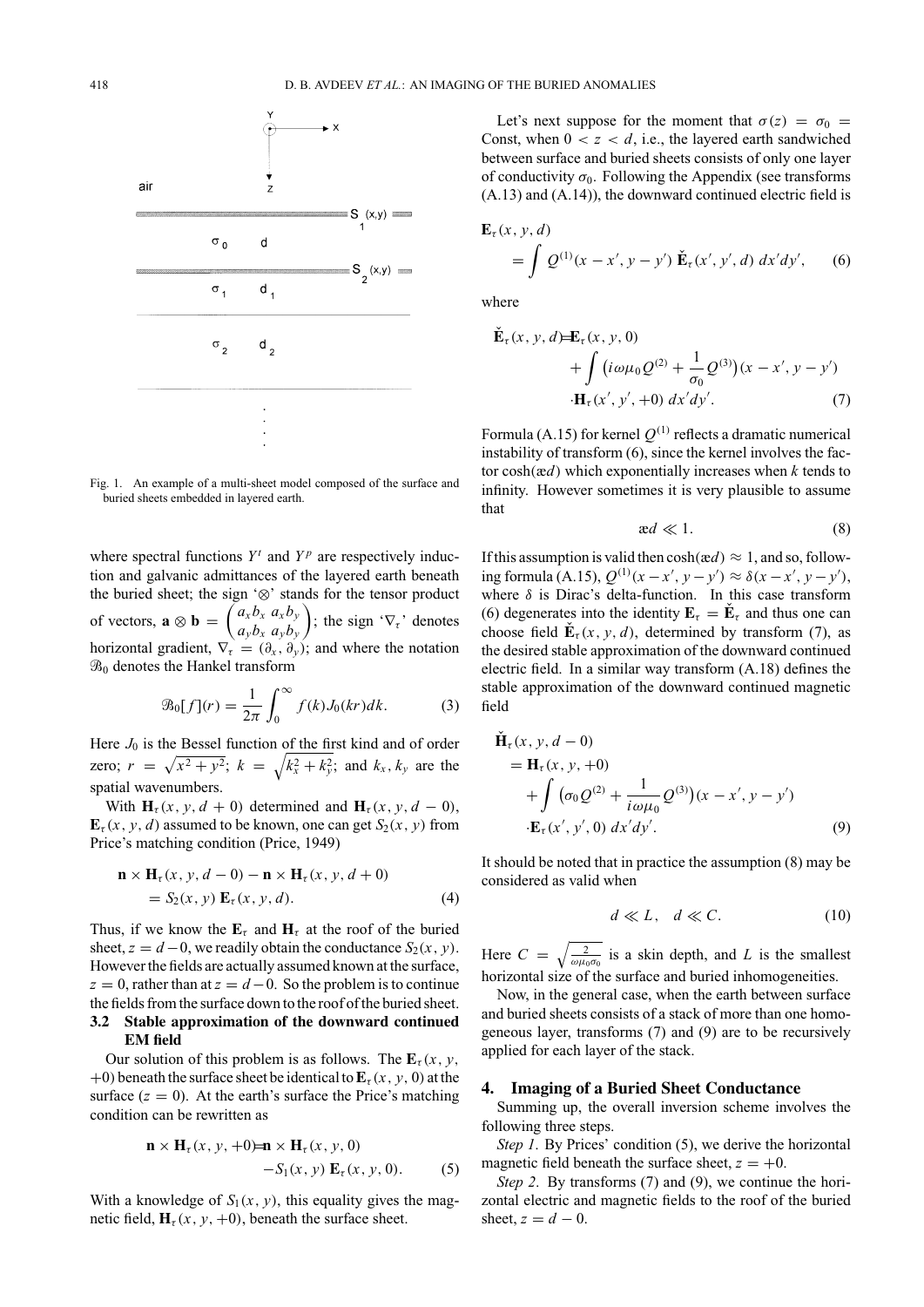

Fig. 1. An example of a multi-sheet model composed of the surface and buried sheets embedded in layered earth.

where spectral functions  $Y^t$  and  $Y^p$  are respectively induction and galvanic admittances of the layered earth beneath the buried sheet; the sign '⊗' stands for the tensor product of vectors,  $\mathbf{a} \otimes \mathbf{b} = \begin{pmatrix} a_x b_x & a_x b_y \\ a_y b_y & a_y b_y \end{pmatrix}$ *aybx ayby* ); the sign ' $\nabla_{\tau}$ ' denotes horizontal gradient,  $\nabla_{\tau} = (\partial_x, \partial_y)$ ; and where the notation  $\mathcal{B}_0$  denotes the Hankel transform

$$
\mathcal{B}_0[f](r) = \frac{1}{2\pi} \int_0^\infty f(k) J_0(kr) dk. \tag{3}
$$

Here  $J_0$  is the Bessel function of the first kind and of order zero;  $r = \sqrt{x^2 + y^2}$ ;  $k = \sqrt{k_x^2 + k_y^2}$ ; and  $k_x, k_y$  are the spatial wavenumbers.

With  $\mathbf{H}_{\tau}(x, y, d+0)$  determined and  $\mathbf{H}_{\tau}(x, y, d-0)$ ,  $\mathbf{E}_{\tau}(x, y, d)$  assumed to be known, one can get  $S_2(x, y)$  from Price's matching condition (Price, 1949)

$$
\mathbf{n} \times \mathbf{H}_{\tau}(x, y, d - 0) - \mathbf{n} \times \mathbf{H}_{\tau}(x, y, d + 0)
$$
  
=  $S_2(x, y) \mathbf{E}_{\tau}(x, y, d).$  (4)

Thus, if we know the  $\mathbf{E}_{\tau}$  and  $\mathbf{H}_{\tau}$  at the roof of the buried sheet,  $z = d - 0$ , we readily obtain the conductance  $S_2(x, y)$ . However the fields are actually assumed known at the surface,  $z = 0$ , rather than at  $z = d - 0$ . So the problem is to continue the fields from the surface down to the roof of the buried sheet. **3.2 Stable approximation of the downward continued EM field**

Our solution of this problem is as follows. The  $\mathbf{E}_{\tau}(x, y)$ , +0) beneath the surface sheet be identical to  $\mathbf{E}_{\tau}(x, y, 0)$  at the surface  $(z = 0)$ . At the earth's surface the Price's matching condition can be rewritten as

$$
\mathbf{n} \times \mathbf{H}_{\tau}(x, y, +0) = \mathbf{n} \times \mathbf{H}_{\tau}(x, y, 0)
$$
  
-S<sub>1</sub>(x, y)  $\mathbf{E}_{\tau}(x, y, 0)$ . (5)

With a knowledge of  $S_1(x, y)$ , this equality gives the magnetic field,  $\mathbf{H}_{\tau}(x, y, +0)$ , beneath the surface sheet.

Let's next suppose for the moment that  $\sigma(z) = \sigma_0$ Const, when  $0 < z < d$ , i.e., the layered earth sandwiched between surface and buried sheets consists of only one layer of conductivity  $\sigma_0$ . Following the Appendix (see transforms (A.13) and (A.14)), the downward continued electric field is

$$
\mathbf{E}_{\tau}(x, y, d) = \int Q^{(1)}(x - x', y - y') \, \check{\mathbf{E}}_{\tau}(x', y', d) \, dx'dy', \qquad (6)
$$

where

$$
\mathbf{E}_{\tau}(x, y, d) = \mathbf{E}_{\tau}(x, y, 0) \n+ \int (i\omega\mu_0 Q^{(2)} + \frac{1}{\sigma_0} Q^{(3)})(x - x', y - y') \n\cdot \mathbf{H}_{\tau}(x', y', +0) dx'dy'.
$$
\n(7)

Formula (A.15) for kernel  $Q^{(1)}$  reflects a dramatic numerical instability of transform (6), since the kernel involves the factor cosh(æ*d*) which exponentially increases when *k* tends to infinity. However sometimes it is very plausible to assume that

$$
ad \ll 1. \tag{8}
$$

If this assumption is valid then  $\cosh(\alpha d) \approx 1$ , and so, following formula (A.15),  $Q^{(1)}(x - x', y - y') ≈ δ(x - x', y - y'),$ where  $\delta$  is Dirac's delta-function. In this case transform (6) degenerates into the identity  $\mathbf{E}_{\tau} = \mathbf{E}_{\tau}$  and thus one can choose field  $\mathbf{E}_{\tau}(x, y, d)$ , determined by transform (7), as the desired stable approximation of the downward continued electric field. In a similar way transform (A.18) defines the stable approximation of the downward continued magnetic field

$$
\begin{aligned} \mathbf{H}_{\tau}(x, y, d-0) \\ &= \mathbf{H}_{\tau}(x, y, +0) \\ &+ \int (\sigma_0 Q^{(2)} + \frac{1}{i\omega\mu_0} Q^{(3)})(x - x', y - y') \\ &\cdot \mathbf{E}_{\tau}(x', y', 0) \, dx'dy'. \end{aligned} \tag{9}
$$

It should be noted that in practice the assumption (8) may be considered as valid when

$$
d \ll L, \quad d \ll C. \tag{10}
$$

Here  $C = \sqrt{\frac{2}{\omega \mu_0 \sigma_0}}$  is a skin depth, and *L* is the smallest horizontal size of the surface and buried inhomogeneities.

Now, in the general case, when the earth between surface and buried sheets consists of a stack of more than one homogeneous layer, transforms (7) and (9) are to be recursively applied for each layer of the stack.

#### **4. Imaging of a Buried Sheet Conductance**

Summing up, the overall inversion scheme involves the following three steps.

*Step 1*. By Prices' condition (5), we derive the horizontal magnetic field beneath the surface sheet,  $z = +0$ .

*Step 2*. By transforms (7) and (9), we continue the horizontal electric and magnetic fields to the roof of the buried sheet,  $z = d - 0$ .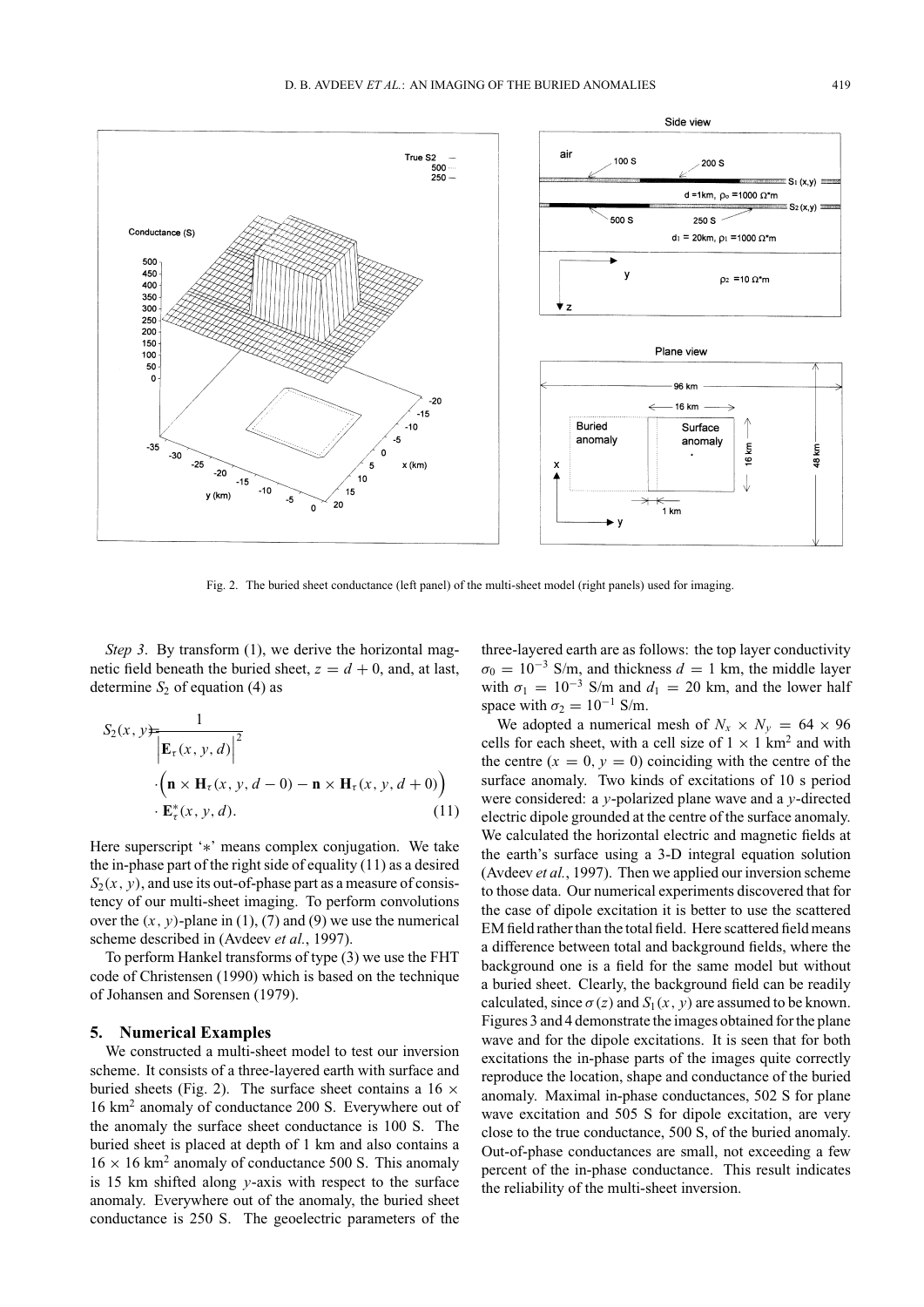

Fig. 2. The buried sheet conductance (left panel) of the multi-sheet model (right panels) used for imaging.

*Step 3.* By transform (1), we derive the horizontal magnetic field beneath the buried sheet,  $z = d + 0$ , and, at last, determine  $S_2$  of equation (4) as

$$
S_2(x, y) = \frac{1}{\left|\mathbf{E}_{\tau}(x, y, d)\right|^2}
$$

$$
\cdot \left(\mathbf{n} \times \mathbf{H}_{\tau}(x, y, d-0) - \mathbf{n} \times \mathbf{H}_{\tau}(x, y, d+0)\right)
$$

$$
\cdot \mathbf{E}_{\tau}^*(x, y, d). \tag{11}
$$

Here superscript '∗' means complex conjugation. We take the in-phase part of the right side of equality (11) as a desired  $S_2(x, y)$ , and use its out-of-phase part as a measure of consistency of our multi-sheet imaging. To perform convolutions over the  $(x, y)$ -plane in  $(1)$ ,  $(7)$  and  $(9)$  we use the numerical scheme described in (Avdeev *et al.*, 1997).

To perform Hankel transforms of type (3) we use the FHT code of Christensen (1990) which is based on the technique of Johansen and Sorensen (1979).

#### **5. Numerical Examples**

We constructed a multi-sheet model to test our inversion scheme. It consists of a three-layered earth with surface and buried sheets (Fig. 2). The surface sheet contains a  $16 \times$ 16 km<sup>2</sup> anomaly of conductance 200 S. Everywhere out of the anomaly the surface sheet conductance is 100 S. The buried sheet is placed at depth of 1 km and also contains a  $16 \times 16$  km<sup>2</sup> anomaly of conductance 500 S. This anomaly is 15 km shifted along *y*-axis with respect to the surface anomaly. Everywhere out of the anomaly, the buried sheet conductance is 250 S. The geoelectric parameters of the

three-layered earth are as follows: the top layer conductivity  $\sigma_0 = 10^{-3}$  S/m, and thickness  $d = 1$  km, the middle layer with  $\sigma_1 = 10^{-3}$  S/m and  $d_1 = 20$  km, and the lower half space with  $\sigma_2 = 10^{-1}$  S/m.

We adopted a numerical mesh of  $N_x \times N_y = 64 \times 96$ cells for each sheet, with a cell size of  $1 \times 1$  km<sup>2</sup> and with the centre  $(x = 0, y = 0)$  coinciding with the centre of the surface anomaly. Two kinds of excitations of 10 s period were considered: a *y*-polarized plane wave and a *y*-directed electric dipole grounded at the centre of the surface anomaly. We calculated the horizontal electric and magnetic fields at the earth's surface using a 3-D integral equation solution (Avdeev *et al.*, 1997). Then we applied our inversion scheme to those data. Our numerical experiments discovered that for the case of dipole excitation it is better to use the scattered EM field rather than the total field. Here scattered field means a difference between total and background fields, where the background one is a field for the same model but without a buried sheet. Clearly, the background field can be readily calculated, since  $\sigma(z)$  and  $S_1(x, y)$  are assumed to be known. Figures 3 and 4 demonstrate the images obtained for the plane wave and for the dipole excitations. It is seen that for both excitations the in-phase parts of the images quite correctly reproduce the location, shape and conductance of the buried anomaly. Maximal in-phase conductances, 502 S for plane wave excitation and 505 S for dipole excitation, are very close to the true conductance, 500 S, of the buried anomaly. Out-of-phase conductances are small, not exceeding a few percent of the in-phase conductance. This result indicates the reliability of the multi-sheet inversion.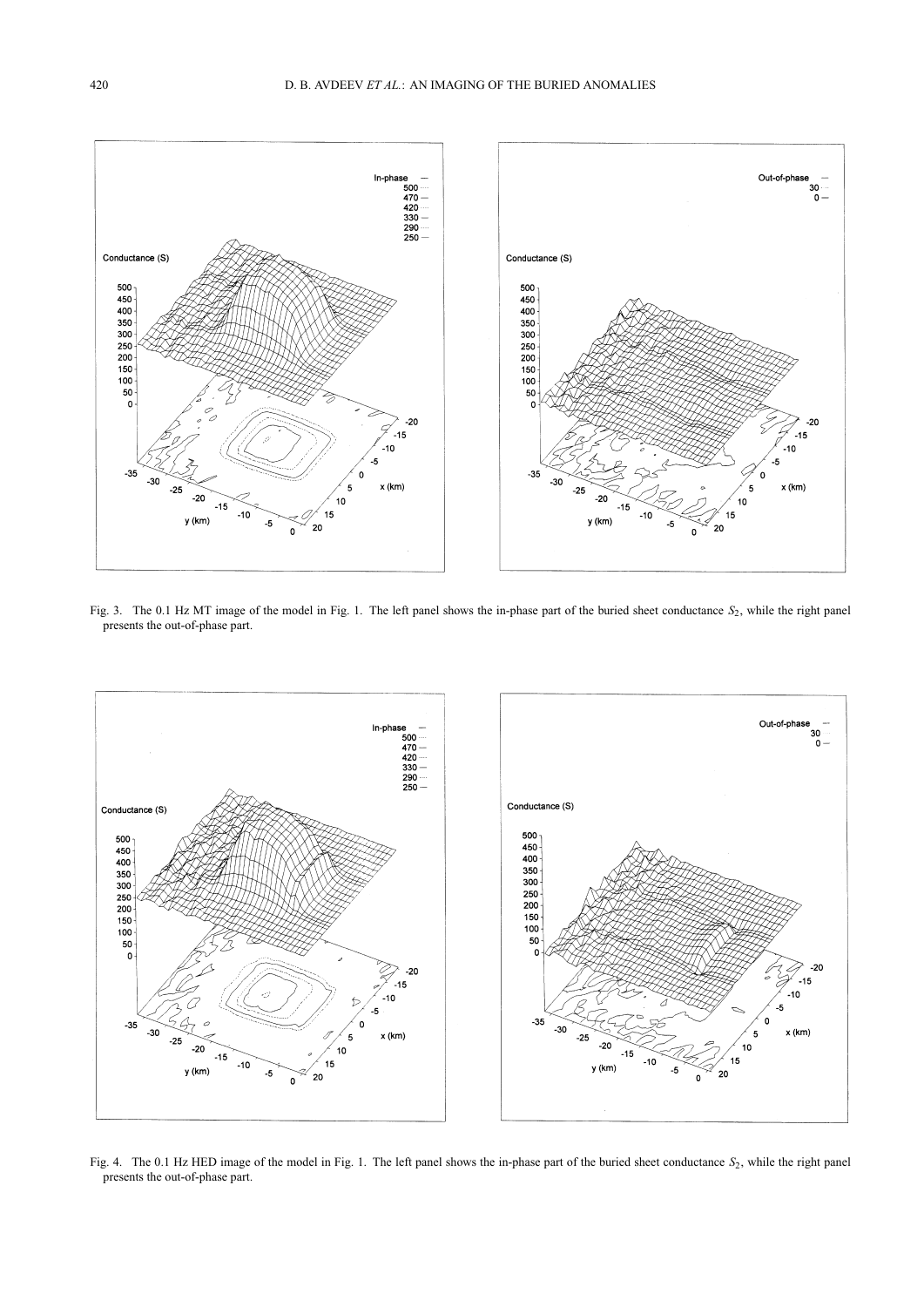

Fig. 3. The 0.1 Hz MT image of the model in Fig. 1. The left panel shows the in-phase part of the buried sheet conductance *S*<sub>2</sub>, while the right panel presents the out-of-phase part.



Fig. 4. The 0.1 Hz HED image of the model in Fig. 1. The left panel shows the in-phase part of the buried sheet conductance  $S_2$ , while the right panel presents the out-of-phase part.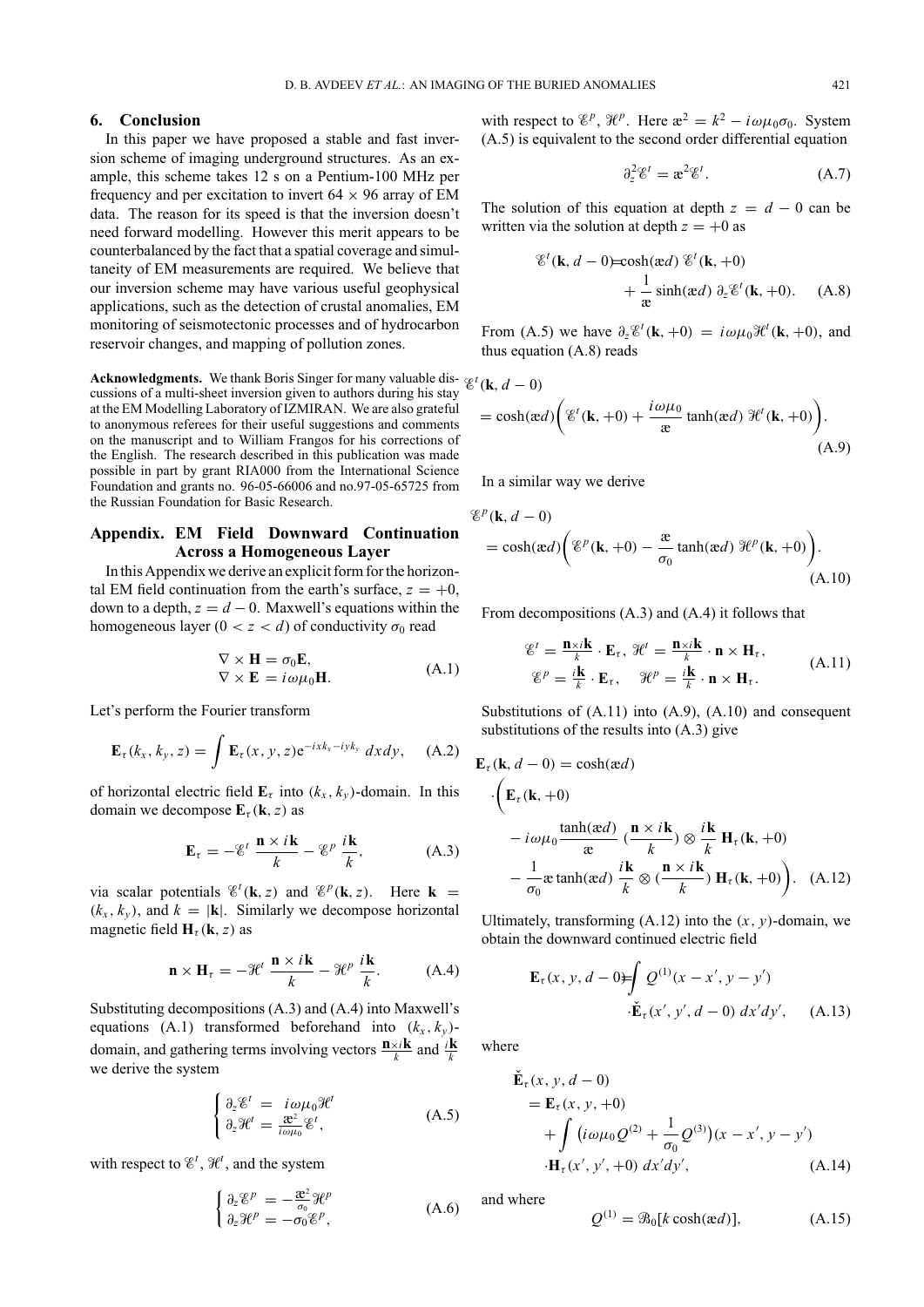#### **6. Conclusion**

In this paper we have proposed a stable and fast inversion scheme of imaging underground structures. As an example, this scheme takes 12 s on a Pentium-100 MHz per frequency and per excitation to invert  $64 \times 96$  array of EM data. The reason for its speed is that the inversion doesn't need forward modelling. However this merit appears to be counterbalanced by the fact that a spatial coverage and simultaneity of EM measurements are required. We believe that our inversion scheme may have various useful geophysical applications, such as the detection of crustal anomalies, EM monitoring of seismotectonic processes and of hydrocarbon reservoir changes, and mapping of pollution zones.

**Acknowledgments.** We thank Boris Singer for many valuable dis- $\varphi$ cussions of a multi-sheet inversion given to authors during his stay at the EM Modelling Laboratory of IZMIRAN. We are also grateful to anonymous referees for their useful suggestions and comments on the manuscript and to William Frangos for his corrections of the English. The research described in this publication was made possible in part by grant RIA000 from the International Science Foundation and grants no. 96-05-66006 and no.97-05-65725 from the Russian Foundation for Basic Research.

## **Appendix. EM Field Downward Continuation Across a Homogeneous Layer**

In this Appendix we derive an explicit form for the horizontal EM field continuation from the earth's surface,  $z = +0$ , down to a depth,  $z = d - 0$ . Maxwell's equations within the homogeneous layer  $(0 < z < d)$  of conductivity  $\sigma_0$  read

$$
\nabla \times \mathbf{H} = \sigma_0 \mathbf{E}, \nabla \times \mathbf{E} = i\omega \mu_0 \mathbf{H}.
$$
\n(A.1)

Let's perform the Fourier transform

$$
\mathbf{E}_{\tau}(k_x, k_y, z) = \int \mathbf{E}_{\tau}(x, y, z) e^{-ixk_x - iyk_y} dx dy, \quad (A.2)
$$

of horizontal electric field  $\mathbf{E}_{\tau}$  into  $(k_{x}, k_{y})$ -domain. In this domain we decompose  $\mathbf{E}_{\tau}(\mathbf{k}, z)$  as

$$
\mathbf{E}_{\tau} = -\mathcal{E}^{t} \frac{\mathbf{n} \times i\mathbf{k}}{k} - \mathcal{E}^{p} \frac{i\mathbf{k}}{k},
$$
 (A.3)

via scalar potentials  $\mathscr{E}^t(\mathbf{k}, z)$  and  $\mathscr{E}^p(\mathbf{k}, z)$ . Here  $\mathbf{k} =$  $(k_x, k_y)$ , and  $k = |\mathbf{k}|$ . Similarly we decompose horizontal magnetic field  $\mathbf{H}_{\tau}(\mathbf{k}, z)$  as

$$
\mathbf{n} \times \mathbf{H}_{\tau} = -\mathcal{H}^{t} \frac{\mathbf{n} \times i\mathbf{k}}{k} - \mathcal{H}^{p} \frac{i\mathbf{k}}{k}.
$$
 (A.4)

Substituting decompositions (A.3) and (A.4) into Maxwell's equations (A.1) transformed beforehand into  $(k_x, k_y)$ domain, and gathering terms involving vectors  $\frac{\mathbf{n} \times i\mathbf{k}}{k}$  and  $\frac{i\mathbf{k}}{k}$ we derive the system

$$
\begin{cases} \partial_z \mathscr{E}^t = i \omega \mu_0 \mathscr{H}^t \\ \partial_z \mathscr{H}^t = \frac{\mathscr{E}^2}{i \omega \mu_0} \mathscr{E}^t, \end{cases} \tag{A.5}
$$

with respect to  $\mathscr{E}^t$ ,  $\mathscr{H}^t$ , and the system

$$
\begin{cases}\n\partial_z \mathscr{E}^p = -\frac{\mathscr{E}^2}{\sigma_0} \mathscr{H}^p \\
\partial_z \mathscr{H}^p = -\sigma_0 \mathscr{E}^p,\n\end{cases} \tag{A.6}
$$

with respect to  $\mathcal{E}^p$ ,  $\mathcal{H}^p$ . Here  $\mathcal{E}^2 = k^2 - i\omega\mu_0\sigma_0$ . System (A.5) is equivalent to the second order differential equation

$$
\partial_z^2 \mathscr{E}^t = \mathbf{r}^2 \mathscr{E}^t. \tag{A.7}
$$

The solution of this equation at depth  $z = d - 0$  can be written via the solution at depth  $z = +0$  as

$$
\mathscr{E}^{t}(\mathbf{k}, d - 0) = \cosh(\alpha d) \mathscr{E}^{t}(\mathbf{k}, +0)
$$

$$
+ \frac{1}{\alpha} \sinh(\alpha d) \partial_{z} \mathscr{E}^{t}(\mathbf{k}, +0). \quad (A.8)
$$

From (A.5) we have  $\partial_z \mathcal{C}^t(\mathbf{k}, +0) = i \omega \mu_0 \mathcal{H}^t(\mathbf{k}, +0)$ , and thus equation (A.8) reads

$$
\begin{aligned} \n\mathcal{E}^t(\mathbf{k}, d-0) \\
&= \cosh(\mathbf{\alpha}d) \bigg( \mathcal{E}^t(\mathbf{k}, +0) + \frac{i\omega\mu_0}{\mathbf{\alpha}}\tanh(\mathbf{\alpha}d) \, \mathcal{H}^t(\mathbf{k}, +0) \bigg). \n\end{aligned} \tag{A.9}
$$

In a similar way we derive

$$
\mathcal{E}^{p}(\mathbf{k}, d - 0)
$$
  
= cosh( $\alpha d$ )  $\left( \mathcal{E}^{p}(\mathbf{k}, +0) - \frac{\alpha}{\sigma_0} \tanh(\alpha d) \mathcal{H}^{p}(\mathbf{k}, +0) \right).$  (A.10)

From decompositions (A.3) and (A.4) it follows that

$$
\mathcal{E}^{t} = \frac{\mathbf{n} \times i\mathbf{k}}{k} \cdot \mathbf{E}_{\tau}, \ \mathcal{H}^{t} = \frac{\mathbf{n} \times i\mathbf{k}}{k} \cdot \mathbf{n} \times \mathbf{H}_{\tau},
$$
\n
$$
\mathcal{E}^{p} = \frac{i\mathbf{k}}{k} \cdot \mathbf{E}_{\tau}, \quad \mathcal{H}^{p} = \frac{i\mathbf{k}}{k} \cdot \mathbf{n} \times \mathbf{H}_{\tau}.
$$
\n(A.11)

Substitutions of (A.11) into (A.9), (A.10) and consequent substitutions of the results into (A.3) give

$$
\mathbf{E}_{\tau}(\mathbf{k}, d - 0) = \cosh(\alpha d)
$$

$$
\cdot \left( \mathbf{E}_{\tau}(\mathbf{k}, +0) - i\omega\mu_0 \frac{\tanh(\alpha d)}{\alpha} \left( \frac{\mathbf{n} \times i\mathbf{k}}{k} \right) \otimes \frac{i\mathbf{k}}{k} \mathbf{H}_{\tau}(\mathbf{k}, +0) - \frac{1}{\sigma_0} \operatorname{aranh}(\alpha d) \frac{i\mathbf{k}}{k} \otimes \left( \frac{\mathbf{n} \times i\mathbf{k}}{k} \right) \mathbf{H}_{\tau}(\mathbf{k}, +0) \right). \quad (A.12)
$$

Ultimately, transforming  $(A.12)$  into the  $(x, y)$ -domain, we obtain the downward continued electric field

$$
\mathbf{E}_{\tau}(x, y, d - 0) = \int Q^{(1)}(x - x', y - y')
$$
  
•
$$
\tilde{\mathbf{E}}_{\tau}(x', y', d - 0) dx'dy', \quad (A.13)
$$

where

$$
\mathbf{E}_{\tau}(x, y, d - 0) \n= \mathbf{E}_{\tau}(x, y, +0) \n+ \int (i\omega\mu_0 Q^{(2)} + \frac{1}{\sigma_0} Q^{(3)})(x - x', y - y') \n\cdot \mathbf{H}_{\tau}(x', y', +0) dx'dy',
$$
\n(A.14)

and where

$$
Q^{(1)} = \mathcal{B}_0[k\cosh(\mathbf{a}d)], \tag{A.15}
$$